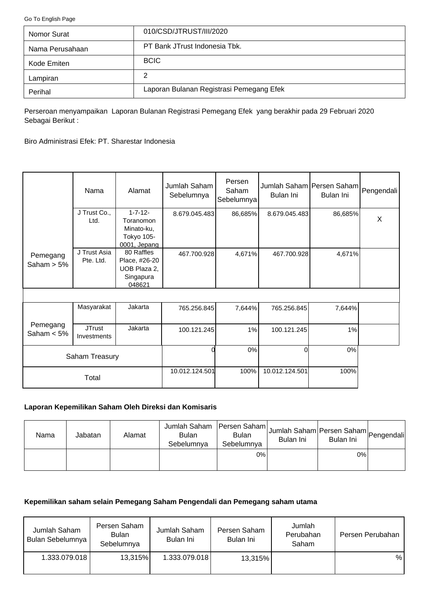<span id="page-0-0"></span>[Go To English Page](#page-2-0)

| Nomor Surat     | 010/CSD/JTRUST/III/2020                  |
|-----------------|------------------------------------------|
| Nama Perusahaan | PT Bank JTrust Indonesia Tbk.            |
| Kode Emiten     | <b>BCIC</b>                              |
| Lampiran        | 2                                        |
| Perihal         | Laporan Bulanan Registrasi Pemegang Efek |

Perseroan menyampaikan Laporan Bulanan Registrasi Pemegang Efek yang berakhir pada 29 Februari 2020 Sebagai Berikut :

Biro Administrasi Efek: PT. Sharestar Indonesia

|                           | Nama                         | Alamat                                                                  | Jumlah Saham<br>Sebelumnya | Persen<br>Saham<br>Sebelumnya | Jumlah Saham Persen Saham<br>Bulan Ini | Bulan Ini | Pengendali |
|---------------------------|------------------------------|-------------------------------------------------------------------------|----------------------------|-------------------------------|----------------------------------------|-----------|------------|
|                           | J Trust Co.,<br>Ltd.         | $1 - 7 - 12 -$<br>Toranomon<br>Minato-ku,<br>Tokyo 105-<br>0001, Jepang | 8.679.045.483              | 86,685%                       | 8.679.045.483                          | 86,685%   | X          |
| Pemegang<br>Saham $> 5\%$ | J Trust Asia<br>Pte. Ltd.    | 80 Raffles<br>Place, #26-20<br>UOB Plaza 2,<br>Singapura<br>048621      | 467.700.928                | 4,671%                        | 467.700.928                            | 4,671%    |            |
|                           |                              |                                                                         |                            |                               |                                        |           |            |
|                           | Masyarakat                   | Jakarta                                                                 | 765.256.845                | 7,644%                        | 765.256.845                            | 7,644%    |            |
| Pemegang<br>Saham $< 5\%$ | <b>JTrust</b><br>Investments | Jakarta                                                                 | 100.121.245                | 1%                            | 100.121.245                            | 1%        |            |
|                           | Saham Treasury               |                                                                         |                            | $0\%$                         | $\Omega$                               | 0%        |            |
|                           | Total                        |                                                                         | 10.012.124.501             | 100%                          | 10.012.124.501                         | 100%      |            |

# **Laporan Kepemilikan Saham Oleh Direksi dan Komisaris**

| Nama | Jabatan | Alamat | Jumlah Saham   Persen Saham  <br><b>Bulan</b><br>Sebelumnya | <b>Bulan</b><br>Sebelumnya | Jumlah Saham Persen Saham Pengendali<br>Bulan Ini | Bulan Ini |  |
|------|---------|--------|-------------------------------------------------------------|----------------------------|---------------------------------------------------|-----------|--|
|      |         |        |                                                             | 0%                         |                                                   | 0%        |  |

### **Kepemilikan saham selain Pemegang Saham Pengendali dan Pemegang saham utama**

| Jumlah Saham<br>Bulan Sebelumnya | Persen Saham<br><b>Bulan</b><br>Sebelumnya | Jumlah Saham<br>Bulan Ini | Persen Saham<br>Bulan Ini | Jumlah<br>Perubahan<br>Saham | Persen Perubahan |
|----------------------------------|--------------------------------------------|---------------------------|---------------------------|------------------------------|------------------|
| 1.333.079.018                    | 13,315%                                    | 1.333.079.018             | 13,315%                   |                              | %                |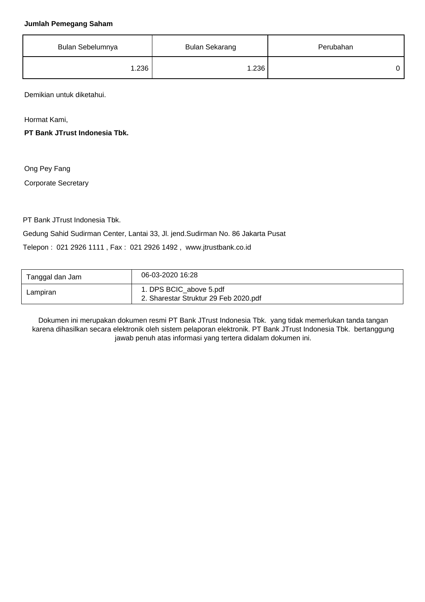#### **Jumlah Pemegang Saham**

| Bulan Sebelumnya | <b>Bulan Sekarang</b> | Perubahan |
|------------------|-----------------------|-----------|
| 1.236            | 1.236                 |           |

Demikian untuk diketahui.

Hormat Kami,

**PT Bank JTrust Indonesia Tbk.**

Ong Pey Fang

Corporate Secretary

PT Bank JTrust Indonesia Tbk.

Gedung Sahid Sudirman Center, Lantai 33, Jl. jend.Sudirman No. 86 Jakarta Pusat

Telepon : 021 2926 1111 , Fax : 021 2926 1492 , www.jtrustbank.co.id

| Tanggal dan Jam | 06-03-2020 16:28                                                 |
|-----------------|------------------------------------------------------------------|
| Lampiran        | 1. DPS BCIC_above 5.pdf<br>2. Sharestar Struktur 29 Feb 2020.pdf |

Dokumen ini merupakan dokumen resmi PT Bank JTrust Indonesia Tbk. yang tidak memerlukan tanda tangan karena dihasilkan secara elektronik oleh sistem pelaporan elektronik. PT Bank JTrust Indonesia Tbk. bertanggung jawab penuh atas informasi yang tertera didalam dokumen ini.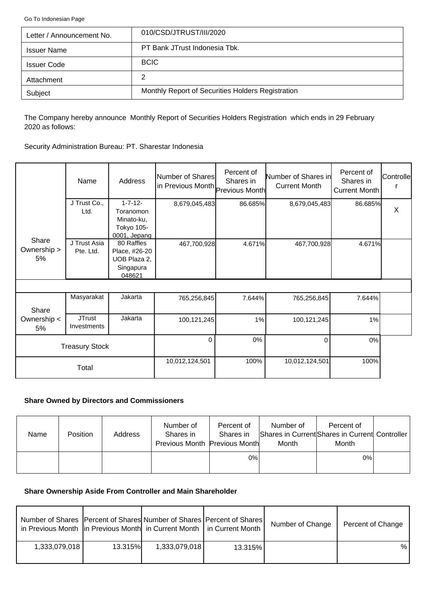<span id="page-2-0"></span>[Go To Indonesian Page](#page-0-0)

| Letter / Announcement No. | 010/CSD/JTRUST/III/2020                           |
|---------------------------|---------------------------------------------------|
| <b>Issuer Name</b>        | PT Bank JTrust Indonesia Tbk.                     |
| <b>Issuer Code</b>        | <b>BCIC</b>                                       |
| Attachment                | 2                                                 |
| Subject                   | Monthly Report of Securities Holders Registration |

The Company hereby announce Monthly Report of Securities Holders Registration which ends in 29 February 2020 as follows:

Security Administration Bureau: PT. Sharestar Indonesia

|                            | Name                         | Address                                     | Number of Shares<br>in Previous Month Previous Month | Percent of<br>Shares in | Number of Shares in<br><b>Current Month</b> | Percent of<br>Shares in<br><b>Current Month</b> | Controlle |
|----------------------------|------------------------------|---------------------------------------------|------------------------------------------------------|-------------------------|---------------------------------------------|-------------------------------------------------|-----------|
|                            | J Trust Co.,<br>Ltd.         | $1 - 7 - 12 -$<br>Toranomon                 | 8,679,045,483                                        | 86.685%                 | 8,679,045,483                               | 86.685%                                         | $\sf X$   |
|                            |                              | Minato-ku,                                  |                                                      |                         |                                             |                                                 |           |
|                            |                              | Tokyo 105-<br>0001, Jepang                  |                                                      |                         |                                             |                                                 |           |
| Share<br>Ownership ><br>5% | J Trust Asia<br>Pte. Ltd.    | 80 Raffles<br>Place, #26-20<br>UOB Plaza 2, | 467,700,928                                          | 4.671%                  | 467,700,928                                 | 4.671%                                          |           |
|                            |                              | Singapura<br>048621                         |                                                      |                         |                                             |                                                 |           |
|                            |                              |                                             |                                                      |                         |                                             |                                                 |           |
|                            | Masyarakat                   | Jakarta                                     | 765,256,845                                          | 7.644%                  | 765,256,845                                 | 7.644%                                          |           |
| Share<br>Ownership <<br>5% | <b>JTrust</b><br>Investments | Jakarta                                     | 100,121,245                                          | 1%                      | 100,121,245                                 | 1%                                              |           |
|                            | <b>Treasury Stock</b>        |                                             | $\Omega$                                             | 0%                      | $\Omega$                                    | 0%                                              |           |
|                            | Total                        |                                             | 10,012,124,501                                       | 100%                    | 10,012,124,501                              | 100%                                            |           |

### **Share Owned by Directors and Commissioners**

| <b>Name</b> | Position | Address | Number of<br>Shares in<br>Previous Month Previous Month | Percent of<br>Shares in | Number of<br>Month | Percent of<br>Shares in Current Shares in Current Controller<br>Month |  |
|-------------|----------|---------|---------------------------------------------------------|-------------------------|--------------------|-----------------------------------------------------------------------|--|
|             |          |         |                                                         | 0%                      |                    | 0%                                                                    |  |

# **Share Ownership Aside From Controller and Main Shareholder**

| Number of Shares   Percent of Shares  Number of Shares   Percent of Shares  <br>in Previous Month   in Previous Month   in Current Month   in Current Month |                |               |         | Number of Change | Percent of Change |
|-------------------------------------------------------------------------------------------------------------------------------------------------------------|----------------|---------------|---------|------------------|-------------------|
| 1,333,079,018                                                                                                                                               | <b>13.315%</b> | 1,333,079,018 | 13.315% |                  | %                 |